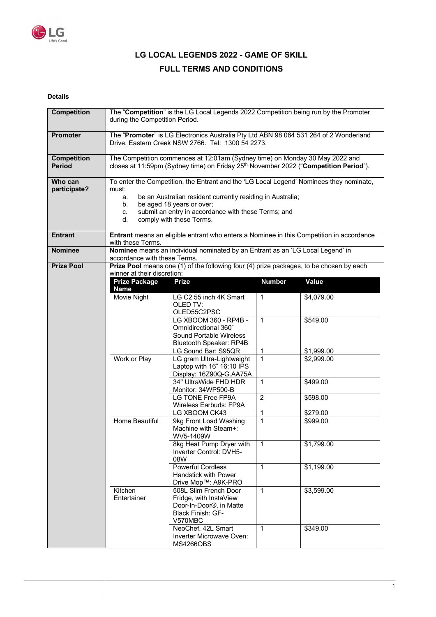

# **LG LOCAL LEGENDS 2022 - GAME OF SKILL FULL TERMS AND CONDITIONS**

# **Details**

| <b>Competition</b>                  | The "Competition" is the LG Local Legends 2022 Competition being run by the Promoter<br>during the Competition Period.                                                                                                                                                                                 |                                                                                                                         |                |            |  |
|-------------------------------------|--------------------------------------------------------------------------------------------------------------------------------------------------------------------------------------------------------------------------------------------------------------------------------------------------------|-------------------------------------------------------------------------------------------------------------------------|----------------|------------|--|
| <b>Promoter</b>                     | The "Promoter" is LG Electronics Australia Pty Ltd ABN 98 064 531 264 of 2 Wonderland<br>Drive, Eastern Creek NSW 2766. Tel: 1300 54 2273.                                                                                                                                                             |                                                                                                                         |                |            |  |
| <b>Competition</b><br><b>Period</b> | The Competition commences at 12:01am (Sydney time) on Monday 30 May 2022 and<br>closes at 11:59pm (Sydney time) on Friday 25 <sup>th</sup> November 2022 ("Competition Period").                                                                                                                       |                                                                                                                         |                |            |  |
| Who can<br>participate?             | To enter the Competition, the Entrant and the 'LG Local Legend' Nominees they nominate,<br>must:<br>be an Australian resident currently residing in Australia;<br>a.<br>be aged 18 years or over;<br>b.<br>submit an entry in accordance with these Terms; and<br>c.<br>comply with these Terms.<br>d. |                                                                                                                         |                |            |  |
| <b>Entrant</b>                      | Entrant means an eligible entrant who enters a Nominee in this Competition in accordance<br>with these Terms.                                                                                                                                                                                          |                                                                                                                         |                |            |  |
| <b>Nominee</b>                      | Nominee means an individual nominated by an Entrant as an 'LG Local Legend' in                                                                                                                                                                                                                         |                                                                                                                         |                |            |  |
| <b>Prize Pool</b>                   | accordance with these Terms.                                                                                                                                                                                                                                                                           | Prize Pool means one (1) of the following four (4) prize packages, to be chosen by each                                 |                |            |  |
|                                     | winner at their discretion:                                                                                                                                                                                                                                                                            |                                                                                                                         |                |            |  |
|                                     | <b>Prize Package</b><br><b>Name</b>                                                                                                                                                                                                                                                                    | <b>Prize</b>                                                                                                            | <b>Number</b>  | Value      |  |
|                                     | <b>Movie Night</b>                                                                                                                                                                                                                                                                                     | LG C2 55 inch 4K Smart<br>OLED TV:<br>OLED55C2PSC                                                                       | $\mathbf{1}$   | \$4,079.00 |  |
|                                     |                                                                                                                                                                                                                                                                                                        | LG XBOOM 360 - RP4B -<br>Omnidirectional 360°<br>Sound Portable Wireless<br>Bluetooth Speaker: RP4B                     | $\mathbf{1}$   | \$549.00   |  |
|                                     |                                                                                                                                                                                                                                                                                                        | LG Sound Bar: S95QR                                                                                                     | $\mathbf{1}$   | \$1,999.00 |  |
|                                     | Work or Play                                                                                                                                                                                                                                                                                           | LG gram Ultra-Lightweight<br>Laptop with 16" 16:10 IPS<br>Display: 16Z90Q-G.AA75A                                       | $\overline{1}$ | \$2,999.00 |  |
|                                     |                                                                                                                                                                                                                                                                                                        | 34" UltraWide FHD HDR<br>Monitor: 34WP500-B                                                                             | $\mathbf{1}$   | \$499.00   |  |
|                                     |                                                                                                                                                                                                                                                                                                        | <b>LG TONE Free FP9A</b><br>Wireless Earbuds: FP9A                                                                      | $\overline{2}$ | \$598.00   |  |
|                                     |                                                                                                                                                                                                                                                                                                        | LG XBOOM CK43                                                                                                           | $\mathbf{1}$   | \$279.00   |  |
|                                     | Home Beautiful                                                                                                                                                                                                                                                                                         | 9kg Front Load Washing<br>Machine with Steam+:<br>WV5-1409W                                                             | $\mathbf{1}$   | \$999.00   |  |
|                                     |                                                                                                                                                                                                                                                                                                        | 8kg Heat Pump Dryer with<br>Inverter Control: DVH5-<br>08W                                                              | $\mathbf{1}$   | \$1,799.00 |  |
|                                     |                                                                                                                                                                                                                                                                                                        | <b>Powerful Cordless</b><br><b>Handstick with Power</b><br>Drive Mop™: A9K-PRO                                          | $\mathbf{1}$   | \$1,199.00 |  |
|                                     | Kitchen<br>Entertainer                                                                                                                                                                                                                                                                                 | 508L Slim French Door<br>Fridge, with InstaView<br>Door-In-Door <sup>®</sup> , in Matte<br>Black Finish: GF-<br>V570MBC | $\mathbf{1}$   | \$3,599.00 |  |
|                                     |                                                                                                                                                                                                                                                                                                        | NeoChef, 42L Smart<br>Inverter Microwave Oven:<br><b>MS4266OBS</b>                                                      | $\mathbf{1}$   | \$349.00   |  |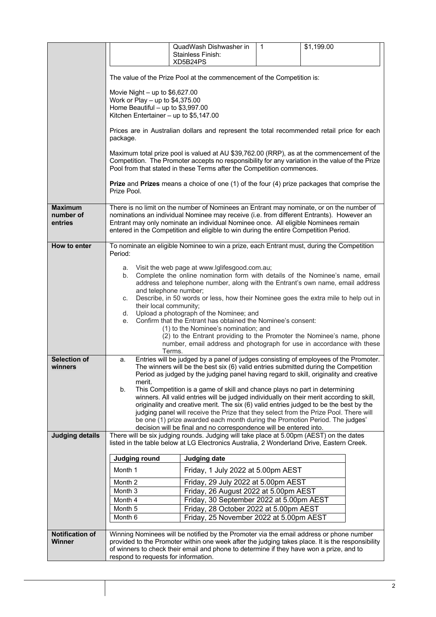|                                        |                                                                                                                                                                                                                                                                                                                                                                                                                                                                                                                                                                                                                                                                                                                                                                                                                                                                                                                                                                                                                                                                                                                                                                                  | QuadWash Dishwasher in<br><b>Stainless Finish:</b>                                                                                                                                   | $\mathbf{1}$ | \$1,199.00 |  |  |
|----------------------------------------|----------------------------------------------------------------------------------------------------------------------------------------------------------------------------------------------------------------------------------------------------------------------------------------------------------------------------------------------------------------------------------------------------------------------------------------------------------------------------------------------------------------------------------------------------------------------------------------------------------------------------------------------------------------------------------------------------------------------------------------------------------------------------------------------------------------------------------------------------------------------------------------------------------------------------------------------------------------------------------------------------------------------------------------------------------------------------------------------------------------------------------------------------------------------------------|--------------------------------------------------------------------------------------------------------------------------------------------------------------------------------------|--------------|------------|--|--|
|                                        |                                                                                                                                                                                                                                                                                                                                                                                                                                                                                                                                                                                                                                                                                                                                                                                                                                                                                                                                                                                                                                                                                                                                                                                  | XD5B24PS                                                                                                                                                                             |              |            |  |  |
|                                        | The value of the Prize Pool at the commencement of the Competition is:                                                                                                                                                                                                                                                                                                                                                                                                                                                                                                                                                                                                                                                                                                                                                                                                                                                                                                                                                                                                                                                                                                           |                                                                                                                                                                                      |              |            |  |  |
|                                        | Movie Night $-$ up to \$6,627.00<br>Work or Play – up to $$4,375.00$<br>Home Beautiful - up to $$3,997.00$<br>Kitchen Entertainer - up to \$5,147.00                                                                                                                                                                                                                                                                                                                                                                                                                                                                                                                                                                                                                                                                                                                                                                                                                                                                                                                                                                                                                             |                                                                                                                                                                                      |              |            |  |  |
|                                        | Prices are in Australian dollars and represent the total recommended retail price for each<br>package.                                                                                                                                                                                                                                                                                                                                                                                                                                                                                                                                                                                                                                                                                                                                                                                                                                                                                                                                                                                                                                                                           |                                                                                                                                                                                      |              |            |  |  |
|                                        | Maximum total prize pool is valued at AU \$39,762.00 (RRP), as at the commencement of the<br>Competition. The Promoter accepts no responsibility for any variation in the value of the Prize<br>Pool from that stated in these Terms after the Competition commences.                                                                                                                                                                                                                                                                                                                                                                                                                                                                                                                                                                                                                                                                                                                                                                                                                                                                                                            |                                                                                                                                                                                      |              |            |  |  |
|                                        | <b>Prize</b> and <b>Prizes</b> means a choice of one (1) of the four (4) prize packages that comprise the<br>Prize Pool.                                                                                                                                                                                                                                                                                                                                                                                                                                                                                                                                                                                                                                                                                                                                                                                                                                                                                                                                                                                                                                                         |                                                                                                                                                                                      |              |            |  |  |
| <b>Maximum</b><br>number of<br>entries | There is no limit on the number of Nominees an Entrant may nominate, or on the number of<br>nominations an individual Nominee may receive (i.e. from different Entrants). However an<br>Entrant may only nominate an individual Nominee once. All eligible Nominees remain<br>entered in the Competition and eligible to win during the entire Competition Period.                                                                                                                                                                                                                                                                                                                                                                                                                                                                                                                                                                                                                                                                                                                                                                                                               |                                                                                                                                                                                      |              |            |  |  |
| How to enter                           | To nominate an eligible Nominee to win a prize, each Entrant must, during the Competition<br>Period:                                                                                                                                                                                                                                                                                                                                                                                                                                                                                                                                                                                                                                                                                                                                                                                                                                                                                                                                                                                                                                                                             |                                                                                                                                                                                      |              |            |  |  |
| Selection of<br>winners                | a. Visit the web page at www.lglifesgood.com.au;<br>Complete the online nomination form with details of the Nominee's name, email<br>b.<br>address and telephone number, along with the Entrant's own name, email address<br>and telephone number;<br>Describe, in 50 words or less, how their Nominee goes the extra mile to help out in<br>C.<br>their local community;<br>Upload a photograph of the Nominee; and<br>d.<br>Confirm that the Entrant has obtained the Nominee's consent:<br>e.<br>(1) to the Nominee's nomination; and<br>(2) to the Entrant providing to the Promoter the Nominee's name, phone<br>number, email address and photograph for use in accordance with these<br>Terms.<br>Entries will be judged by a panel of judges consisting of employees of the Promoter.<br>a.<br>The winners will be the best six (6) valid entries submitted during the Competition<br>Period as judged by the judging panel having regard to skill, originality and creative<br>merit.<br>b.<br>This Competition is a game of skill and chance plays no part in determining<br>winners. All valid entries will be judged individually on their merit according to skill, |                                                                                                                                                                                      |              |            |  |  |
|                                        | originality and creative merit. The six (6) valid entries judged to be the best by the<br>judging panel will receive the Prize that they select from the Prize Pool. There will<br>be one (1) prize awarded each month during the Promotion Period. The judges'<br>decision will be final and no correspondence will be entered into.                                                                                                                                                                                                                                                                                                                                                                                                                                                                                                                                                                                                                                                                                                                                                                                                                                            |                                                                                                                                                                                      |              |            |  |  |
| <b>Judging details</b>                 |                                                                                                                                                                                                                                                                                                                                                                                                                                                                                                                                                                                                                                                                                                                                                                                                                                                                                                                                                                                                                                                                                                                                                                                  | There will be six judging rounds. Judging will take place at 5.00pm (AEST) on the dates<br>listed in the table below at LG Electronics Australia, 2 Wonderland Drive, Eastern Creek. |              |            |  |  |
|                                        | Judging round                                                                                                                                                                                                                                                                                                                                                                                                                                                                                                                                                                                                                                                                                                                                                                                                                                                                                                                                                                                                                                                                                                                                                                    | <b>Judging date</b>                                                                                                                                                                  |              |            |  |  |
|                                        | Month 1                                                                                                                                                                                                                                                                                                                                                                                                                                                                                                                                                                                                                                                                                                                                                                                                                                                                                                                                                                                                                                                                                                                                                                          | Friday, 1 July 2022 at 5.00pm AEST                                                                                                                                                   |              |            |  |  |
|                                        | Month 2                                                                                                                                                                                                                                                                                                                                                                                                                                                                                                                                                                                                                                                                                                                                                                                                                                                                                                                                                                                                                                                                                                                                                                          | Friday, 29 July 2022 at 5.00pm AEST                                                                                                                                                  |              |            |  |  |
|                                        | Month 3<br>Month 4                                                                                                                                                                                                                                                                                                                                                                                                                                                                                                                                                                                                                                                                                                                                                                                                                                                                                                                                                                                                                                                                                                                                                               | Friday, 26 August 2022 at 5.00pm AEST<br>Friday, 30 September 2022 at 5.00pm AEST                                                                                                    |              |            |  |  |
|                                        | Month 5                                                                                                                                                                                                                                                                                                                                                                                                                                                                                                                                                                                                                                                                                                                                                                                                                                                                                                                                                                                                                                                                                                                                                                          | Friday, 28 October 2022 at 5.00pm AEST                                                                                                                                               |              |            |  |  |
|                                        | Month 6                                                                                                                                                                                                                                                                                                                                                                                                                                                                                                                                                                                                                                                                                                                                                                                                                                                                                                                                                                                                                                                                                                                                                                          | Friday, 25 November 2022 at 5.00pm AEST                                                                                                                                              |              |            |  |  |
| <b>Notification of</b>                 |                                                                                                                                                                                                                                                                                                                                                                                                                                                                                                                                                                                                                                                                                                                                                                                                                                                                                                                                                                                                                                                                                                                                                                                  | Winning Nominees will be notified by the Promoter via the email address or phone number                                                                                              |              |            |  |  |
| <b>Winner</b>                          | provided to the Promoter within one week after the judging takes place. It is the responsibility<br>of winners to check their email and phone to determine if they have won a prize, and to                                                                                                                                                                                                                                                                                                                                                                                                                                                                                                                                                                                                                                                                                                                                                                                                                                                                                                                                                                                      |                                                                                                                                                                                      |              |            |  |  |
|                                        | respond to requests for information.                                                                                                                                                                                                                                                                                                                                                                                                                                                                                                                                                                                                                                                                                                                                                                                                                                                                                                                                                                                                                                                                                                                                             |                                                                                                                                                                                      |              |            |  |  |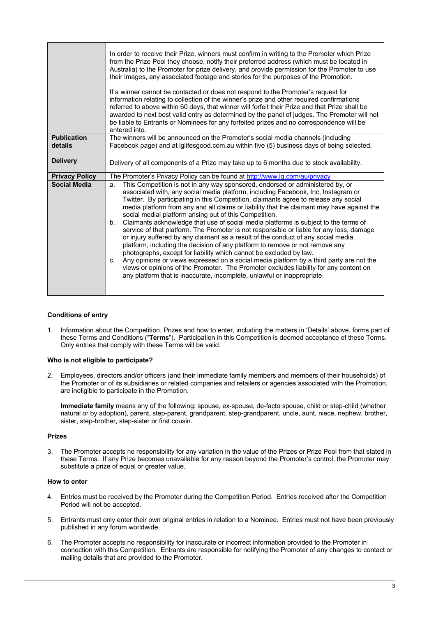|                               | In order to receive their Prize, winners must confirm in writing to the Promoter which Prize<br>from the Prize Pool they choose, notify their preferred address (which must be located in<br>Australia) to the Promoter for prize delivery, and provide permission for the Promoter to use<br>their images, any associated footage and stories for the purposes of the Promotion.<br>If a winner cannot be contacted or does not respond to the Promoter's request for<br>information relating to collection of the winner's prize and other required confirmations<br>referred to above within 60 days, that winner will forfeit their Prize and that Prize shall be<br>awarded to next best valid entry as determined by the panel of judges. The Promoter will not<br>be liable to Entrants or Nominees for any forfeited prizes and no correspondence will be<br>entered into.                                                                                                                                                                                                                                                             |  |  |  |  |
|-------------------------------|------------------------------------------------------------------------------------------------------------------------------------------------------------------------------------------------------------------------------------------------------------------------------------------------------------------------------------------------------------------------------------------------------------------------------------------------------------------------------------------------------------------------------------------------------------------------------------------------------------------------------------------------------------------------------------------------------------------------------------------------------------------------------------------------------------------------------------------------------------------------------------------------------------------------------------------------------------------------------------------------------------------------------------------------------------------------------------------------------------------------------------------------|--|--|--|--|
| <b>Publication</b><br>details | The winners will be announced on the Promoter's social media channels (including<br>Facebook page) and at Iglifesgood.com.au within five (5) business days of being selected.                                                                                                                                                                                                                                                                                                                                                                                                                                                                                                                                                                                                                                                                                                                                                                                                                                                                                                                                                                  |  |  |  |  |
| <b>Delivery</b>               | Delivery of all components of a Prize may take up to 6 months due to stock availability.                                                                                                                                                                                                                                                                                                                                                                                                                                                                                                                                                                                                                                                                                                                                                                                                                                                                                                                                                                                                                                                       |  |  |  |  |
| <b>Privacy Policy</b>         | The Promoter's Privacy Policy can be found at http://www.lg.com/au/privacy                                                                                                                                                                                                                                                                                                                                                                                                                                                                                                                                                                                                                                                                                                                                                                                                                                                                                                                                                                                                                                                                     |  |  |  |  |
| <b>Social Media</b>           | This Competition is not in any way sponsored, endorsed or administered by, or<br>a.<br>associated with, any social media platform, including Facebook, Inc, Instagram or<br>Twitter. By participating in this Competition, claimants agree to release any social<br>media platform from any and all claims or liability that the claimant may have against the<br>social medial platform arising out of this Competition.<br>Claimants acknowledge that use of social media platforms is subject to the terms of<br>b.<br>service of that platform. The Promoter is not responsible or liable for any loss, damage<br>or injury suffered by any claimant as a result of the conduct of any social media<br>platform, including the decision of any platform to remove or not remove any<br>photographs, except for liability which cannot be excluded by law.<br>Any opinions or views expressed on a social media platform by a third party are not the<br>C <sub>1</sub><br>views or opinions of the Promoter. The Promoter excludes liability for any content on<br>any platform that is inaccurate, incomplete, unlawful or inappropriate. |  |  |  |  |

# **Conditions of entry**

1. Information about the Competition, Prizes and how to enter, including the matters in 'Details' above, forms part of these Terms and Conditions ("**Terms**"). Participation in this Competition is deemed acceptance of these Terms. Only entries that comply with these Terms will be valid.

#### **Who is not eligible to participate?**

2. Employees, directors and/or officers (and their immediate family members and members of their households) of the Promoter or of its subsidiaries or related companies and retailers or agencies associated with the Promotion, are ineligible to participate in the Promotion.

**Immediate family** means any of the following: spouse, ex-spouse, de-facto spouse, child or step-child (whether natural or by adoption), parent, step-parent, grandparent, step-grandparent, uncle, aunt, niece, nephew, brother, sister, step-brother, step-sister or first cousin.

#### **Prizes**

3. The Promoter accepts no responsibility for any variation in the value of the Prizes or Prize Pool from that stated in these Terms. If any Prize becomes unavailable for any reason beyond the Promoter's control, the Promoter may substitute a prize of equal or greater value.

# **How to enter**

- 4. Entries must be received by the Promoter during the Competition Period. Entries received after the Competition Period will not be accepted.
- 5. Entrants must only enter their own original entries in relation to a Nominee. Entries must not have been previously published in any forum worldwide.
- 6. The Promoter accepts no responsibility for inaccurate or incorrect information provided to the Promoter in connection with this Competition. Entrants are responsible for notifying the Promoter of any changes to contact or mailing details that are provided to the Promoter.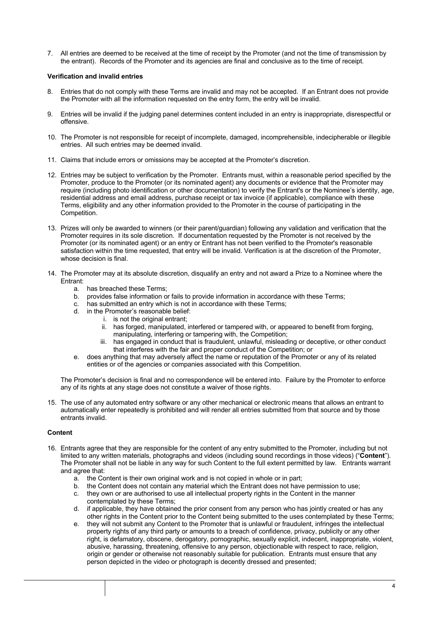7. All entries are deemed to be received at the time of receipt by the Promoter (and not the time of transmission by the entrant). Records of the Promoter and its agencies are final and conclusive as to the time of receipt.

### **Verification and invalid entries**

- 8. Entries that do not comply with these Terms are invalid and may not be accepted. If an Entrant does not provide the Promoter with all the information requested on the entry form, the entry will be invalid.
- 9. Entries will be invalid if the judging panel determines content included in an entry is inappropriate, disrespectful or offensive.
- 10. The Promoter is not responsible for receipt of incomplete, damaged, incomprehensible, indecipherable or illegible entries. All such entries may be deemed invalid.
- 11. Claims that include errors or omissions may be accepted at the Promoter's discretion.
- 12. Entries may be subject to verification by the Promoter. Entrants must, within a reasonable period specified by the Promoter, produce to the Promoter (or its nominated agent) any documents or evidence that the Promoter may require (including photo identification or other documentation) to verify the Entrant's or the Nominee's identity, age, residential address and email address, purchase receipt or tax invoice (if applicable), compliance with these Terms, eligibility and any other information provided to the Promoter in the course of participating in the Competition.
- 13. Prizes will only be awarded to winners (or their parent/guardian) following any validation and verification that the Promoter requires in its sole discretion. If documentation requested by the Promoter is not received by the Promoter (or its nominated agent) or an entry or Entrant has not been verified to the Promoter's reasonable satisfaction within the time requested, that entry will be invalid. Verification is at the discretion of the Promoter, whose decision is final.
- 14. The Promoter may at its absolute discretion, disqualify an entry and not award a Prize to a Nominee where the Entrant:
	- a. has breached these Terms;
	- b. provides false information or fails to provide information in accordance with these Terms;
	- c. has submitted an entry which is not in accordance with these Terms;
	- d. in the Promoter's reasonable belief:
		- i. is not the original entrant:
			- ii. has forged, manipulated, interfered or tampered with, or appeared to benefit from forging, manipulating, interfering or tampering with, the Competition;
			- iii. has engaged in conduct that is fraudulent, unlawful, misleading or deceptive, or other conduct that interferes with the fair and proper conduct of the Competition; or
	- e. does anything that may adversely affect the name or reputation of the Promoter or any of its related entities or of the agencies or companies associated with this Competition.

The Promoter's decision is final and no correspondence will be entered into. Failure by the Promoter to enforce any of its rights at any stage does not constitute a waiver of those rights.

15. The use of any automated entry software or any other mechanical or electronic means that allows an entrant to automatically enter repeatedly is prohibited and will render all entries submitted from that source and by those entrants invalid.

# **Content**

- 16. Entrants agree that they are responsible for the content of any entry submitted to the Promoter, including but not limited to any written materials, photographs and videos (including sound recordings in those videos) ("**Content**"). The Promoter shall not be liable in any way for such Content to the full extent permitted by law. Entrants warrant and agree that:
	- a. the Content is their own original work and is not copied in whole or in part;
	- b. the Content does not contain any material which the Entrant does not have permission to use;
	- c. they own or are authorised to use all intellectual property rights in the Content in the manner contemplated by these Terms;
	- d. if applicable, they have obtained the prior consent from any person who has jointly created or has any other rights in the Content prior to the Content being submitted to the uses contemplated by these Terms;
	- e. they will not submit any Content to the Promoter that is unlawful or fraudulent, infringes the intellectual property rights of any third party or amounts to a breach of confidence, privacy, publicity or any other right, is defamatory, obscene, derogatory, pornographic, sexually explicit, indecent, inappropriate, violent, abusive, harassing, threatening, offensive to any person, objectionable with respect to race, religion, origin or gender or otherwise not reasonably suitable for publication. Entrants must ensure that any person depicted in the video or photograph is decently dressed and presented;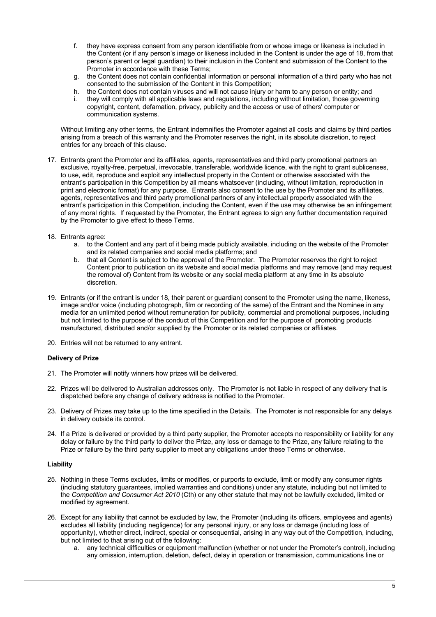- f. they have express consent from any person identifiable from or whose image or likeness is included in the Content (or if any person's image or likeness included in the Content is under the age of 18, from that person's parent or legal guardian) to their inclusion in the Content and submission of the Content to the Promoter in accordance with these Terms;
- g. the Content does not contain confidential information or personal information of a third party who has not consented to the submission of the Content in this Competition;
- h. the Content does not contain viruses and will not cause injury or harm to any person or entity; and
- i. they will comply with all applicable laws and regulations, including without limitation, those governing copyright, content, defamation, privacy, publicity and the access or use of others' computer or communication systems.

Without limiting any other terms, the Entrant indemnifies the Promoter against all costs and claims by third parties arising from a breach of this warranty and the Promoter reserves the right, in its absolute discretion, to reject entries for any breach of this clause.

- 17. Entrants grant the Promoter and its affiliates, agents, representatives and third party promotional partners an exclusive, royalty-free, perpetual, irrevocable, transferable, worldwide licence, with the right to grant sublicenses, to use, edit, reproduce and exploit any intellectual property in the Content or otherwise associated with the entrant's participation in this Competition by all means whatsoever (including, without limitation, reproduction in print and electronic format) for any purpose. Entrants also consent to the use by the Promoter and its affiliates, agents, representatives and third party promotional partners of any intellectual property associated with the entrant's participation in this Competition, including the Content, even if the use may otherwise be an infringement of any moral rights. If requested by the Promoter, the Entrant agrees to sign any further documentation required by the Promoter to give effect to these Terms.
- 18. Entrants agree:
	- a. to the Content and any part of it being made publicly available, including on the website of the Promoter and its related companies and social media platforms; and
	- b. that all Content is subject to the approval of the Promoter. The Promoter reserves the right to reject Content prior to publication on its website and social media platforms and may remove (and may request the removal of) Content from its website or any social media platform at any time in its absolute discretion.
- 19. Entrants (or if the entrant is under 18, their parent or guardian) consent to the Promoter using the name, likeness, image and/or voice (including photograph, film or recording of the same) of the Entrant and the Nominee in any media for an unlimited period without remuneration for publicity, commercial and promotional purposes, including but not limited to the purpose of the conduct of this Competition and for the purpose of promoting products manufactured, distributed and/or supplied by the Promoter or its related companies or affiliates.
- 20. Entries will not be returned to any entrant.

# **Delivery of Prize**

- 21. The Promoter will notify winners how prizes will be delivered.
- 22. Prizes will be delivered to Australian addresses only. The Promoter is not liable in respect of any delivery that is dispatched before any change of delivery address is notified to the Promoter.
- 23. Delivery of Prizes may take up to the time specified in the Details. The Promoter is not responsible for any delays in delivery outside its control.
- 24. If a Prize is delivered or provided by a third party supplier, the Promoter accepts no responsibility or liability for any delay or failure by the third party to deliver the Prize, any loss or damage to the Prize, any failure relating to the Prize or failure by the third party supplier to meet any obligations under these Terms or otherwise.

#### **Liability**

- 25. Nothing in these Terms excludes, limits or modifies, or purports to exclude, limit or modify any consumer rights (including statutory guarantees, implied warranties and conditions) under any statute, including but not limited to the *Competition and Consumer Act 2010* (Cth) or any other statute that may not be lawfully excluded, limited or modified by agreement.
- 26. Except for any liability that cannot be excluded by law, the Promoter (including its officers, employees and agents) excludes all liability (including negligence) for any personal injury, or any loss or damage (including loss of opportunity), whether direct, indirect, special or consequential, arising in any way out of the Competition, including, but not limited to that arising out of the following:
	- a. any technical difficulties or equipment malfunction (whether or not under the Promoter's control), including any omission, interruption, deletion, defect, delay in operation or transmission, communications line or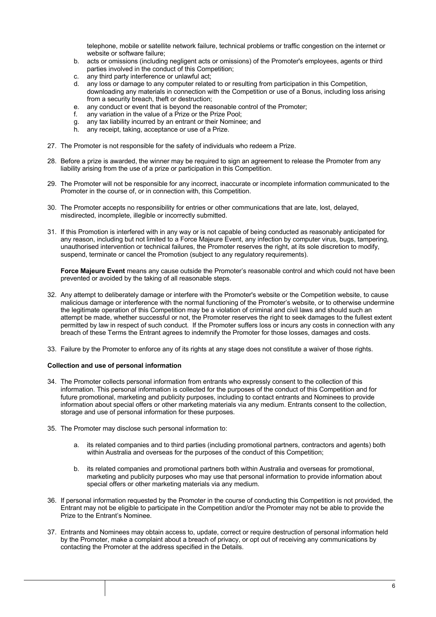telephone, mobile or satellite network failure, technical problems or traffic congestion on the internet or website or software failure;

- b. acts or omissions (including negligent acts or omissions) of the Promoter's employees, agents or third parties involved in the conduct of this Competition;
- c. any third party interference or unlawful act;
- d. any loss or damage to any computer related to or resulting from participation in this Competition, downloading any materials in connection with the Competition or use of a Bonus, including loss arising from a security breach, theft or destruction;
- e. any conduct or event that is beyond the reasonable control of the Promoter;
- f. any variation in the value of a Prize or the Prize Pool;
- g. any tax liability incurred by an entrant or their Nominee; and
- any receipt, taking, acceptance or use of a Prize.
- 27. The Promoter is not responsible for the safety of individuals who redeem a Prize.
- 28. Before a prize is awarded, the winner may be required to sign an agreement to release the Promoter from any liability arising from the use of a prize or participation in this Competition.
- 29. The Promoter will not be responsible for any incorrect, inaccurate or incomplete information communicated to the Promoter in the course of, or in connection with, this Competition.
- 30. The Promoter accepts no responsibility for entries or other communications that are late, lost, delayed, misdirected, incomplete, illegible or incorrectly submitted.
- 31. If this Promotion is interfered with in any way or is not capable of being conducted as reasonably anticipated for any reason, including but not limited to a Force Majeure Event, any infection by computer virus, bugs, tampering, unauthorised intervention or technical failures, the Promoter reserves the right, at its sole discretion to modify, suspend, terminate or cancel the Promotion (subject to any regulatory requirements).

**Force Majeure Event** means any cause outside the Promoter's reasonable control and which could not have been prevented or avoided by the taking of all reasonable steps.

- 32. Any attempt to deliberately damage or interfere with the Promoter's website or the Competition website, to cause malicious damage or interference with the normal functioning of the Promoter's website, or to otherwise undermine the legitimate operation of this Competition may be a violation of criminal and civil laws and should such an attempt be made, whether successful or not, the Promoter reserves the right to seek damages to the fullest extent permitted by law in respect of such conduct. If the Promoter suffers loss or incurs any costs in connection with any breach of these Terms the Entrant agrees to indemnify the Promoter for those losses, damages and costs.
- 33. Failure by the Promoter to enforce any of its rights at any stage does not constitute a waiver of those rights.

# **Collection and use of personal information**

- 34. The Promoter collects personal information from entrants who expressly consent to the collection of this information. This personal information is collected for the purposes of the conduct of this Competition and for future promotional, marketing and publicity purposes, including to contact entrants and Nominees to provide information about special offers or other marketing materials via any medium. Entrants consent to the collection, storage and use of personal information for these purposes.
- 35. The Promoter may disclose such personal information to:
	- a. its related companies and to third parties (including promotional partners, contractors and agents) both within Australia and overseas for the purposes of the conduct of this Competition;
	- b. its related companies and promotional partners both within Australia and overseas for promotional, marketing and publicity purposes who may use that personal information to provide information about special offers or other marketing materials via any medium.
- 36. If personal information requested by the Promoter in the course of conducting this Competition is not provided, the Entrant may not be eligible to participate in the Competition and/or the Promoter may not be able to provide the Prize to the Entrant's Nominee.
- 37. Entrants and Nominees may obtain access to, update, correct or require destruction of personal information held by the Promoter, make a complaint about a breach of privacy, or opt out of receiving any communications by contacting the Promoter at the address specified in the Details.